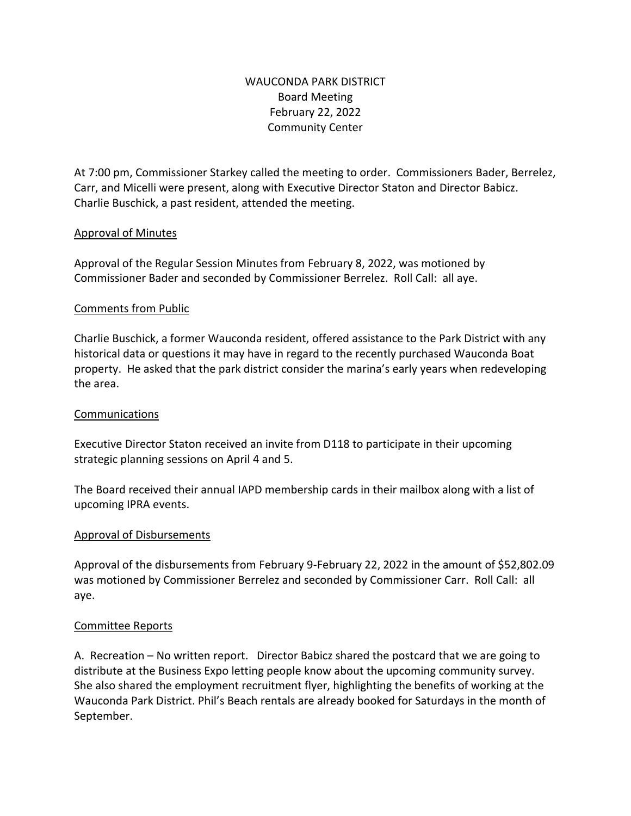# WAUCONDA PARK DISTRICT Board Meeting February 22, 2022 Community Center

At 7:00 pm, Commissioner Starkey called the meeting to order. Commissioners Bader, Berrelez, Carr, and Micelli were present, along with Executive Director Staton and Director Babicz. Charlie Buschick, a past resident, attended the meeting.

### Approval of Minutes

Approval of the Regular Session Minutes from February 8, 2022, was motioned by Commissioner Bader and seconded by Commissioner Berrelez. Roll Call: all aye.

#### Comments from Public

Charlie Buschick, a former Wauconda resident, offered assistance to the Park District with any historical data or questions it may have in regard to the recently purchased Wauconda Boat property. He asked that the park district consider the marina's early years when redeveloping the area.

#### Communications

Executive Director Staton received an invite from D118 to participate in their upcoming strategic planning sessions on April 4 and 5.

The Board received their annual IAPD membership cards in their mailbox along with a list of upcoming IPRA events.

#### Approval of Disbursements

Approval of the disbursements from February 9-February 22, 2022 in the amount of \$52,802.09 was motioned by Commissioner Berrelez and seconded by Commissioner Carr. Roll Call: all aye.

#### Committee Reports

A. Recreation – No written report. Director Babicz shared the postcard that we are going to distribute at the Business Expo letting people know about the upcoming community survey. She also shared the employment recruitment flyer, highlighting the benefits of working at the Wauconda Park District. Phil's Beach rentals are already booked for Saturdays in the month of September.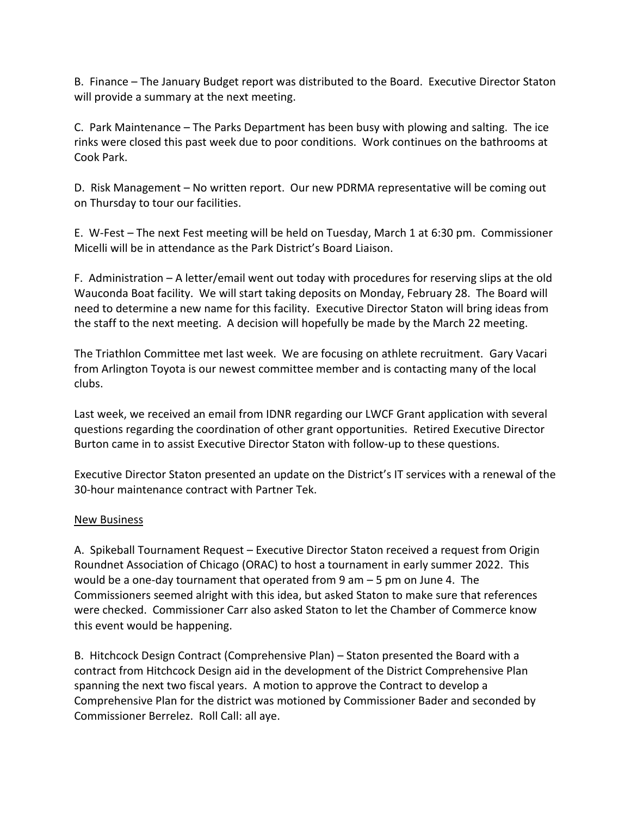B. Finance – The January Budget report was distributed to the Board. Executive Director Staton will provide a summary at the next meeting.

C. Park Maintenance – The Parks Department has been busy with plowing and salting. The ice rinks were closed this past week due to poor conditions. Work continues on the bathrooms at Cook Park.

D. Risk Management – No written report. Our new PDRMA representative will be coming out on Thursday to tour our facilities.

E. W-Fest – The next Fest meeting will be held on Tuesday, March 1 at 6:30 pm. Commissioner Micelli will be in attendance as the Park District's Board Liaison.

F. Administration – A letter/email went out today with procedures for reserving slips at the old Wauconda Boat facility. We will start taking deposits on Monday, February 28. The Board will need to determine a new name for this facility. Executive Director Staton will bring ideas from the staff to the next meeting. A decision will hopefully be made by the March 22 meeting.

The Triathlon Committee met last week. We are focusing on athlete recruitment. Gary Vacari from Arlington Toyota is our newest committee member and is contacting many of the local clubs.

Last week, we received an email from IDNR regarding our LWCF Grant application with several questions regarding the coordination of other grant opportunities. Retired Executive Director Burton came in to assist Executive Director Staton with follow-up to these questions.

Executive Director Staton presented an update on the District's IT services with a renewal of the 30-hour maintenance contract with Partner Tek.

#### New Business

A. Spikeball Tournament Request – Executive Director Staton received a request from Origin Roundnet Association of Chicago (ORAC) to host a tournament in early summer 2022. This would be a one-day tournament that operated from  $9 \text{ am} - 5 \text{ pm}$  on June 4. The Commissioners seemed alright with this idea, but asked Staton to make sure that references were checked. Commissioner Carr also asked Staton to let the Chamber of Commerce know this event would be happening.

B. Hitchcock Design Contract (Comprehensive Plan) – Staton presented the Board with a contract from Hitchcock Design aid in the development of the District Comprehensive Plan spanning the next two fiscal years. A motion to approve the Contract to develop a Comprehensive Plan for the district was motioned by Commissioner Bader and seconded by Commissioner Berrelez. Roll Call: all aye.